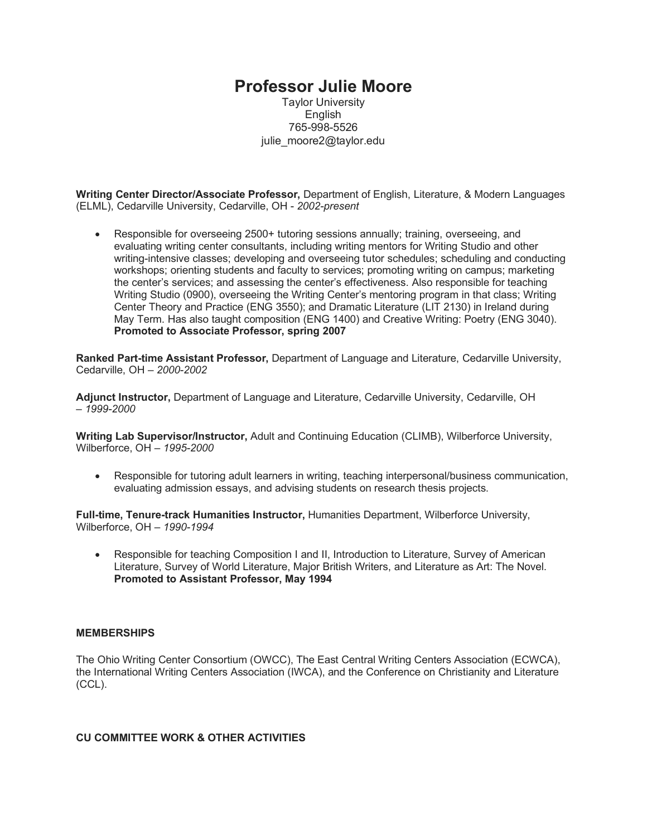# **Professor Julie Moore**

Taylor University English 765-998-5526 julie\_moore2@taylor.edu

**Writing Center Director/Associate Professor,** Department of English, Literature, & Modern Languages (ELML), Cedarville University, Cedarville, OH - *2002-present*

• Responsible for overseeing 2500+ tutoring sessions annually; training, overseeing, and evaluating writing center consultants, including writing mentors for Writing Studio and other writing-intensive classes; developing and overseeing tutor schedules; scheduling and conducting workshops; orienting students and faculty to services; promoting writing on campus; marketing the center's services; and assessing the center's effectiveness. Also responsible for teaching Writing Studio (0900), overseeing the Writing Center's mentoring program in that class; Writing Center Theory and Practice (ENG 3550); and Dramatic Literature (LIT 2130) in Ireland during May Term. Has also taught composition (ENG 1400) and Creative Writing: Poetry (ENG 3040). **Promoted to Associate Professor, spring 2007**

**Ranked Part-time Assistant Professor,** Department of Language and Literature, Cedarville University, Cedarville, OH – *2000-2002*

**Adjunct Instructor,** Department of Language and Literature, Cedarville University, Cedarville, OH – *1999-2000*

**Writing Lab Supervisor/Instructor,** Adult and Continuing Education (CLIMB), Wilberforce University, Wilberforce, OH – *1995-2000*

• Responsible for tutoring adult learners in writing, teaching interpersonal/business communication, evaluating admission essays, and advising students on research thesis projects.

**Full-time, Tenure-track Humanities Instructor,** Humanities Department, Wilberforce University, Wilberforce, OH – *1990-1994*

• Responsible for teaching Composition I and II, Introduction to Literature, Survey of American Literature, Survey of World Literature, Major British Writers, and Literature as Art: The Novel. **Promoted to Assistant Professor, May 1994**

#### **MEMBERSHIPS**

The Ohio Writing Center Consortium (OWCC), The East Central Writing Centers Association (ECWCA), the International Writing Centers Association (IWCA), and the Conference on Christianity and Literature (CCL).

### **CU COMMITTEE WORK & OTHER ACTIVITIES**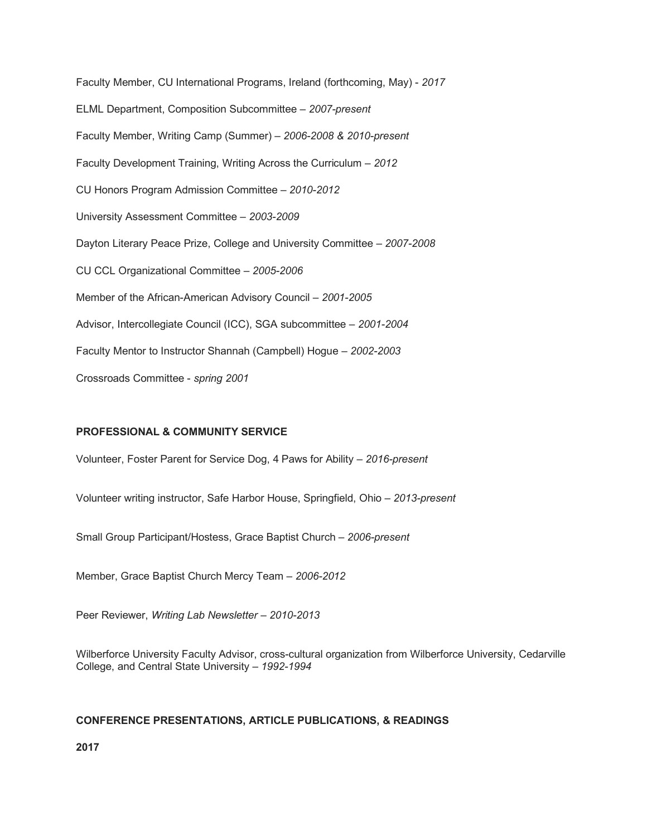Faculty Member, CU International Programs, Ireland (forthcoming, May) - *2017* ELML Department, Composition Subcommittee – *2007-present* Faculty Member, Writing Camp (Summer) – *2006-2008 & 2010-present* Faculty Development Training, Writing Across the Curriculum – *2012* CU Honors Program Admission Committee – *2010-2012* University Assessment Committee – *2003-2009* Dayton Literary Peace Prize, College and University Committee – *2007-2008* CU CCL Organizational Committee – *2005-2006* Member of the African-American Advisory Council – *2001-2005* Advisor, Intercollegiate Council (ICC), SGA subcommittee – *2001-2004* Faculty Mentor to Instructor Shannah (Campbell) Hogue – *2002-2003* Crossroads Committee - *spring 2001*

### **PROFESSIONAL & COMMUNITY SERVICE**

Volunteer, Foster Parent for Service Dog, 4 Paws for Ability – *2016-present*

Volunteer writing instructor, Safe Harbor House, Springfield, Ohio – *2013-present*

Small Group Participant/Hostess, Grace Baptist Church – *2006-present*

Member, Grace Baptist Church Mercy Team – *2006-2012*

Peer Reviewer, *Writing Lab Newsletter – 2010-2013*

Wilberforce University Faculty Advisor, cross-cultural organization from Wilberforce University, Cedarville College, and Central State University – *1992-1994*

### **CONFERENCE PRESENTATIONS, ARTICLE PUBLICATIONS, & READINGS**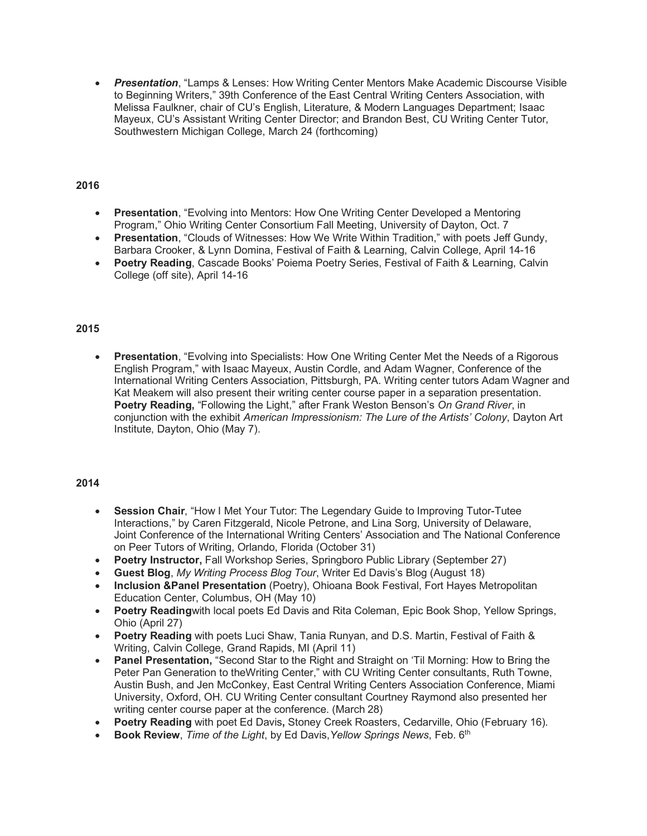• *Presentation*, "Lamps & Lenses: How Writing Center Mentors Make Academic Discourse Visible to Beginning Writers," 39th Conference of the East Central Writing Centers Association, with Melissa Faulkner, chair of CU's English, Literature, & Modern Languages Department; Isaac Mayeux, CU's Assistant Writing Center Director; and Brandon Best, CU Writing Center Tutor, Southwestern Michigan College, March 24 (forthcoming)

### **2016**

- **Presentation**, "Evolving into Mentors: How One Writing Center Developed a Mentoring Program," Ohio Writing Center Consortium Fall Meeting, University of Dayton, Oct. 7
- **Presentation**, "Clouds of Witnesses: How We Write Within Tradition," with poets Jeff Gundy, Barbara Crooker, & Lynn Domina, Festival of Faith & Learning, Calvin College, April 14-16
- **Poetry Reading**, Cascade Books' Poiema Poetry Series, Festival of Faith & Learning, Calvin College (off site), April 14-16

### **2015**

• **Presentation**, "Evolving into Specialists: How One Writing Center Met the Needs of a Rigorous English Program," with Isaac Mayeux, Austin Cordle, and Adam Wagner, Conference of the International Writing Centers Association, Pittsburgh, PA. Writing center tutors Adam Wagner and Kat Meakem will also present their writing center course paper in a separation presentation. **Poetry Reading,** "Following the Light," after Frank Weston Benson's *On Grand River*, in conjunction with the exhibit *American Impressionism: The Lure of the Artists' Colony*, Dayton Art Institute, Dayton, Ohio (May 7).

- **Session Chair**, "How I Met Your Tutor: The Legendary Guide to Improving Tutor-Tutee Interactions," by Caren Fitzgerald, Nicole Petrone, and Lina Sorg, University of Delaware, Joint Conference of the International Writing Centers' Association and The National Conference on Peer Tutors of Writing, Orlando, Florida (October 31)
- **Poetry Instructor,** Fall Workshop Series, Springboro Public Library (September 27)
- **Guest Blog**, *My Writing Process Blog Tour*, Writer Ed Davis's Blog (August 18)
- **Inclusion &Panel Presentation** (Poetry), Ohioana Book Festival, Fort Hayes Metropolitan Education Center, Columbus, OH (May 10)
- **Poetry Reading**with local poets Ed Davis and Rita Coleman, Epic Book Shop, Yellow Springs, Ohio (April 27)
- **Poetry Reading** with poets Luci Shaw, Tania Runyan, and D.S. Martin, Festival of Faith & Writing, Calvin College, Grand Rapids, MI (April 11)
- **Panel Presentation,** "Second Star to the Right and Straight on 'Til Morning: How to Bring the Peter Pan Generation to theWriting Center," with CU Writing Center consultants, Ruth Towne, Austin Bush, and Jen McConkey, East Central Writing Centers Association Conference, Miami University, Oxford, OH. CU Writing Center consultant Courtney Raymond also presented her writing center course paper at the conference. (March 28)
- **Poetry Reading** with poet Ed Davis**,** Stoney Creek Roasters, Cedarville, Ohio (February 16).
- **Book Review**, *Time of the Light*, by Ed Davis, *Yellow Springs News*, Feb. 6<sup>th</sup>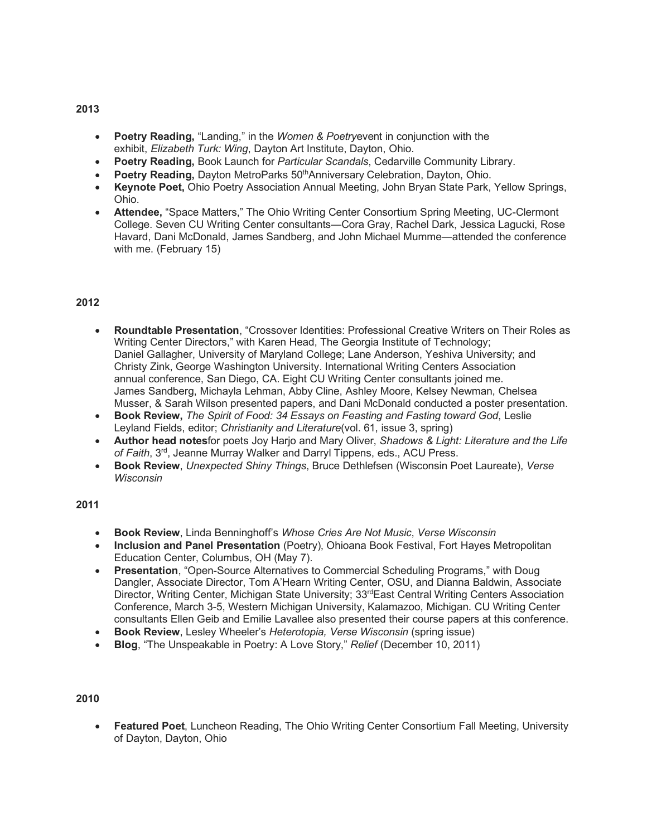- **Poetry Reading,** "Landing," in the *Women & Poetry*event in conjunction with the exhibit, *Elizabeth Turk: Wing*, Dayton Art Institute, Dayton, Ohio.
- **Poetry Reading,** Book Launch for *Particular Scandals*, Cedarville Community Library.
- **Poetry Reading, Dayton MetroParks 50<sup>th</sup>Anniversary Celebration, Dayton, Ohio.**
- **Keynote Poet,** Ohio Poetry Association Annual Meeting, John Bryan State Park, Yellow Springs, Ohio.
- **Attendee,** "Space Matters," The Ohio Writing Center Consortium Spring Meeting, UC-Clermont College. Seven CU Writing Center consultants—Cora Gray, Rachel Dark, Jessica Lagucki, Rose Havard, Dani McDonald, James Sandberg, and John Michael Mumme—attended the conference with me. (February 15)

- **Roundtable Presentation**, "Crossover Identities: Professional Creative Writers on Their Roles as Writing Center Directors," with Karen Head, The Georgia Institute of Technology; Daniel Gallagher, University of Maryland College; Lane Anderson, Yeshiva University; and Christy Zink, George Washington University. International Writing Centers Association annual conference, San Diego, CA. Eight CU Writing Center consultants joined me. James Sandberg, Michayla Lehman, Abby Cline, Ashley Moore, Kelsey Newman, Chelsea Musser, & Sarah Wilson presented papers, and Dani McDonald conducted a poster presentation.
- **Book Review,** *The Spirit of Food: 34 Essays on Feasting and Fasting toward God*, Leslie Leyland Fields, editor; *Christianity and Literature*(vol. 61, issue 3, spring)
- **Author head notes**for poets Joy Harjo and Mary Oliver, *Shadows & Light: Literature and the Life of Faith*, 3rd, Jeanne Murray Walker and Darryl Tippens, eds., ACU Press.
- **Book Review**, *Unexpected Shiny Things*, Bruce Dethlefsen (Wisconsin Poet Laureate), *Verse Wisconsin*

### **2011**

- **Book Review**, Linda Benninghoff's *Whose Cries Are Not Music*, *Verse Wisconsin*
- **Inclusion and Panel Presentation** (Poetry), Ohioana Book Festival, Fort Hayes Metropolitan Education Center, Columbus, OH (May 7).
- **Presentation**, "Open-Source Alternatives to Commercial Scheduling Programs," with Doug Dangler, Associate Director, Tom A'Hearn Writing Center, OSU, and Dianna Baldwin, Associate Director, Writing Center, Michigan State University; 33<sup>rd</sup>East Central Writing Centers Association Conference, March 3-5, Western Michigan University, Kalamazoo, Michigan. CU Writing Center consultants Ellen Geib and Emilie Lavallee also presented their course papers at this conference.
- **Book Review**, Lesley Wheeler's *Heterotopia, Verse Wisconsin* (spring issue)
- **Blog**, "The Unspeakable in Poetry: A Love Story," *Relief* (December 10, 2011)

# **2010**

• **Featured Poet**, Luncheon Reading, The Ohio Writing Center Consortium Fall Meeting, University of Dayton, Dayton, Ohio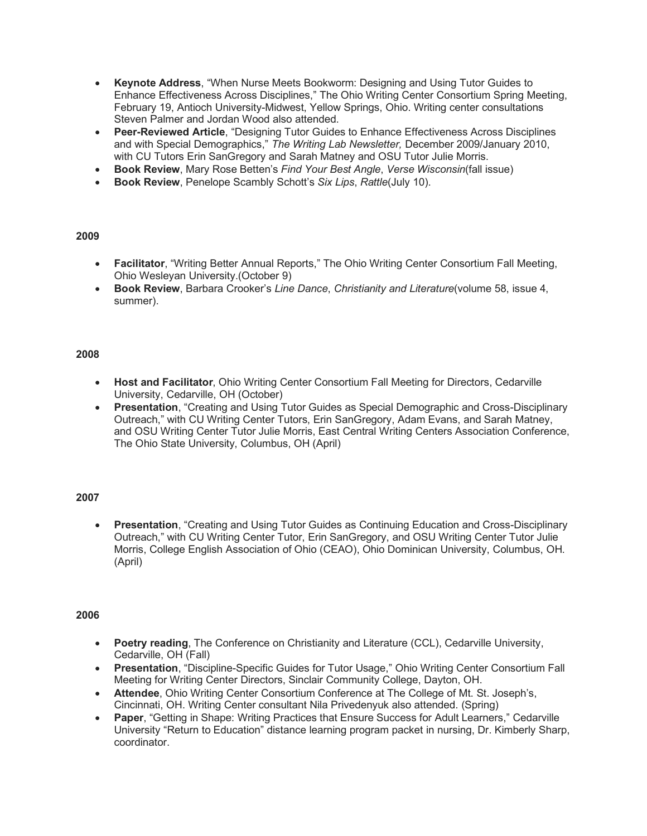- **Keynote Address**, "When Nurse Meets Bookworm: Designing and Using Tutor Guides to Enhance Effectiveness Across Disciplines," The Ohio Writing Center Consortium Spring Meeting, February 19, Antioch University-Midwest, Yellow Springs, Ohio. Writing center consultations Steven Palmer and Jordan Wood also attended.
- **Peer-Reviewed Article**, "Designing Tutor Guides to Enhance Effectiveness Across Disciplines and with Special Demographics," *The Writing Lab Newsletter,* December 2009/January 2010, with CU Tutors Erin SanGregory and Sarah Matney and OSU Tutor Julie Morris.
- **Book Review**, Mary Rose Betten's *Find Your Best Angle*, *Verse Wisconsin*(fall issue)
- **Book Review**, Penelope Scambly Schott's *Six Lips*, *Rattle*(July 10).

- **Facilitator**, "Writing Better Annual Reports," The Ohio Writing Center Consortium Fall Meeting, Ohio Wesleyan University.(October 9)
- **Book Review**, Barbara Crooker's *Line Dance*, *Christianity and Literature*(volume 58, issue 4, summer).

### **2008**

- **Host and Facilitator**, Ohio Writing Center Consortium Fall Meeting for Directors, Cedarville University, Cedarville, OH (October)
- **Presentation**, "Creating and Using Tutor Guides as Special Demographic and Cross-Disciplinary Outreach," with CU Writing Center Tutors, Erin SanGregory, Adam Evans, and Sarah Matney, and OSU Writing Center Tutor Julie Morris, East Central Writing Centers Association Conference, The Ohio State University, Columbus, OH (April)

### **2007**

• **Presentation**, "Creating and Using Tutor Guides as Continuing Education and Cross-Disciplinary Outreach," with CU Writing Center Tutor, Erin SanGregory, and OSU Writing Center Tutor Julie Morris, College English Association of Ohio (CEAO), Ohio Dominican University, Columbus, OH. (April)

- **Poetry reading**, The Conference on Christianity and Literature (CCL), Cedarville University, Cedarville, OH (Fall)
- **Presentation**, "Discipline-Specific Guides for Tutor Usage," Ohio Writing Center Consortium Fall Meeting for Writing Center Directors, Sinclair Community College, Dayton, OH.
- **Attendee**, Ohio Writing Center Consortium Conference at The College of Mt. St. Joseph's, Cincinnati, OH. Writing Center consultant Nila Privedenyuk also attended. (Spring)
- **Paper**, "Getting in Shape: Writing Practices that Ensure Success for Adult Learners," Cedarville University "Return to Education" distance learning program packet in nursing, Dr. Kimberly Sharp, coordinator.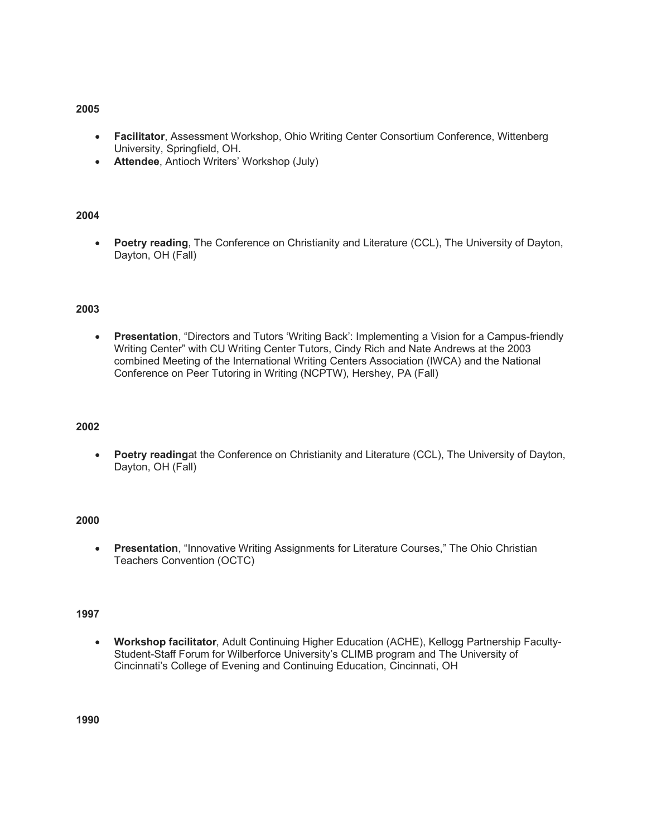- **Facilitator**, Assessment Workshop, Ohio Writing Center Consortium Conference, Wittenberg University, Springfield, OH.
- **Attendee**, Antioch Writers' Workshop (July)

### **2004**

• **Poetry reading**, The Conference on Christianity and Literature (CCL), The University of Dayton, Dayton, OH (Fall)

#### **2003**

• **Presentation**, "Directors and Tutors 'Writing Back': Implementing a Vision for a Campus-friendly Writing Center" with CU Writing Center Tutors, Cindy Rich and Nate Andrews at the 2003 combined Meeting of the International Writing Centers Association (IWCA) and the National Conference on Peer Tutoring in Writing (NCPTW), Hershey, PA (Fall)

#### **2002**

• **Poetry reading**at the Conference on Christianity and Literature (CCL), The University of Dayton, Dayton, OH (Fall)

### **2000**

• **Presentation**, "Innovative Writing Assignments for Literature Courses," The Ohio Christian Teachers Convention (OCTC)

#### **1997**

• **Workshop facilitator**, Adult Continuing Higher Education (ACHE), Kellogg Partnership Faculty-Student-Staff Forum for Wilberforce University's CLIMB program and The University of Cincinnati's College of Evening and Continuing Education, Cincinnati, OH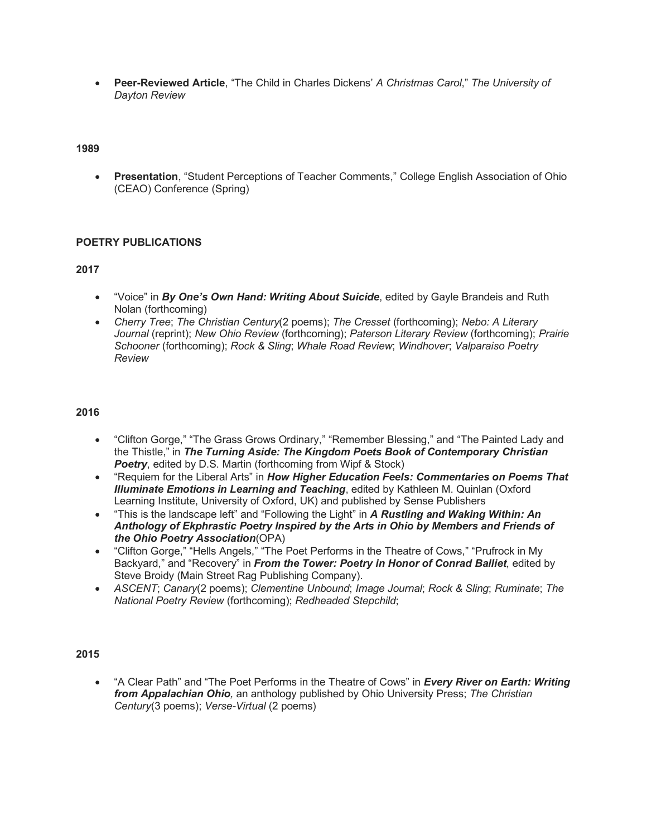• **Peer-Reviewed Article**, "The Child in Charles Dickens' *A Christmas Carol*," *The University of Dayton Review*

### **1989**

• **Presentation**, "Student Perceptions of Teacher Comments," College English Association of Ohio (CEAO) Conference (Spring)

### **POETRY PUBLICATIONS**

### **2017**

- "Voice" in *By One's Own Hand: Writing About Suicide*, edited by Gayle Brandeis and Ruth Nolan (forthcoming)
- *Cherry Tree*; *The Christian Century*(2 poems); *The Cresset* (forthcoming); *Nebo: A Literary Journal* (reprint); *New Ohio Review* (forthcoming); *Paterson Literary Review* (forthcoming); *Prairie Schooner* (forthcoming); *Rock & Sling*; *Whale Road Review*; *Windhover*; *Valparaiso Poetry Review*

### **2016**

- "Clifton Gorge," "The Grass Grows Ordinary," "Remember Blessing," and "The Painted Lady and the Thistle," in *The Turning Aside: The Kingdom Poets Book of Contemporary Christian*  **Poetry**, edited by D.S. Martin (forthcoming from Wipf & Stock)
- "Requiem for the Liberal Arts" in *How Higher Education Feels: Commentaries on Poems That Illuminate Emotions in Learning and Teaching*, edited by Kathleen M. Quinlan (Oxford Learning Institute, University of Oxford, UK) and published by Sense Publishers
- "This is the landscape left" and "Following the Light" in *A Rustling and Waking Within: An Anthology of Ekphrastic Poetry Inspired by the Arts in Ohio by Members and Friends of the Ohio Poetry Association*(OPA)
- "Clifton Gorge," "Hells Angels," "The Poet Performs in the Theatre of Cows," "Prufrock in My Backyard," and "Recovery" in *From the Tower: Poetry in Honor of Conrad Balliet*, edited by Steve Broidy (Main Street Rag Publishing Company).
- *ASCENT*; *Canary*(2 poems); *Clementine Unbound*; *Image Journal*; *Rock & Sling*; *Ruminate*; *The National Poetry Review* (forthcoming); *Redheaded Stepchild*;

#### **2015**

• "A Clear Path" and "The Poet Performs in the Theatre of Cows" in *Every River on Earth: Writing from Appalachian Ohio,* an anthology published by Ohio University Press; *The Christian Century*(3 poems); *Verse-Virtual* (2 poems)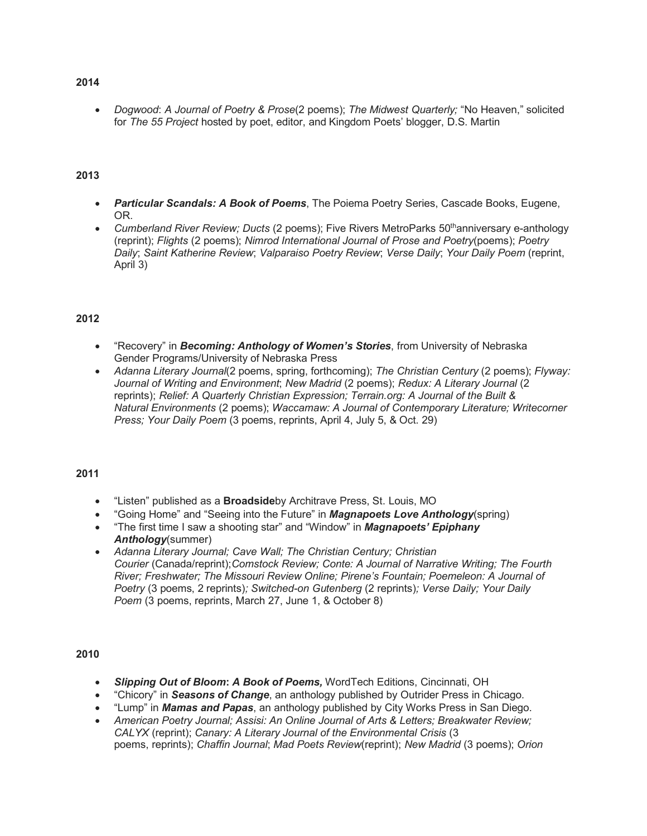• *Dogwood*: *A Journal of Poetry & Prose*(2 poems); *The Midwest Quarterly;* "No Heaven," solicited for *The 55 Project* hosted by poet, editor, and Kingdom Poets' blogger, D.S. Martin

### **2013**

- *Particular Scandals: A Book of Poems*, The Poiema Poetry Series, Cascade Books, Eugene, OR.
- *Cumberland River Review: Ducts* (2 poems): Five Rivers MetroParks 50<sup>th</sup>anniversary e-anthology (reprint); *Flights* (2 poems); *Nimrod International Journal of Prose and Poetry*(poems); *Poetry Daily*; *Saint Katherine Review*; *Valparaiso Poetry Review*; *Verse Daily*; *Your Daily Poem* (reprint, April 3)

### **2012**

- "Recovery" in *Becoming: Anthology of Women's Stories*, from University of Nebraska Gender Programs/University of Nebraska Press
- *Adanna Literary Journal*(2 poems, spring, forthcoming); *The Christian Century* (2 poems); *Flyway: Journal of Writing and Environment*; *New Madrid* (2 poems); *Redux: A Literary Journal* (2 reprints); *Relief: A Quarterly Christian Expression; Terrain.org: A Journal of the Built & Natural Environments* (2 poems); *Waccamaw: A Journal of Contemporary Literature; Writecorner Press; Your Daily Poem* (3 poems, reprints, April 4, July 5, & Oct. 29)

#### **2011**

- "Listen" published as a **Broadside**by Architrave Press, St. Louis, MO
- "Going Home" and "Seeing into the Future" in *Magnapoets Love Anthology*(spring)
- "The first time I saw a shooting star" and "Window" in *Magnapoets' Epiphany Anthology*(summer)
- *Adanna Literary Journal; Cave Wall; The Christian Century; Christian Courier* (Canada/reprint);*Comstock Review; Conte: A Journal of Narrative Writing; The Fourth River; Freshwater; The Missouri Review Online; Pirene's Fountain; Poemeleon: A Journal of Poetry* (3 poems, 2 reprints)*; Switched-on Gutenberg* (2 reprints)*; Verse Daily; Your Daily Poem* (3 poems, reprints, March 27, June 1, & October 8)

- *Slipping Out of Bloom***:** *A Book of Poems,* WordTech Editions, Cincinnati, OH
- "Chicory" in *Seasons of Change*, an anthology published by Outrider Press in Chicago.
- "Lump" in *Mamas and Papas*, an anthology published by City Works Press in San Diego.
- *American Poetry Journal; Assisi: An Online Journal of Arts & Letters; Breakwater Review; CALYX* (reprint); *Canary: A Literary Journal of the Environmental Crisis* (3 poems, reprints); *Chaffin Journal*; *Mad Poets Review*(reprint); *New Madrid* (3 poems); *Orion*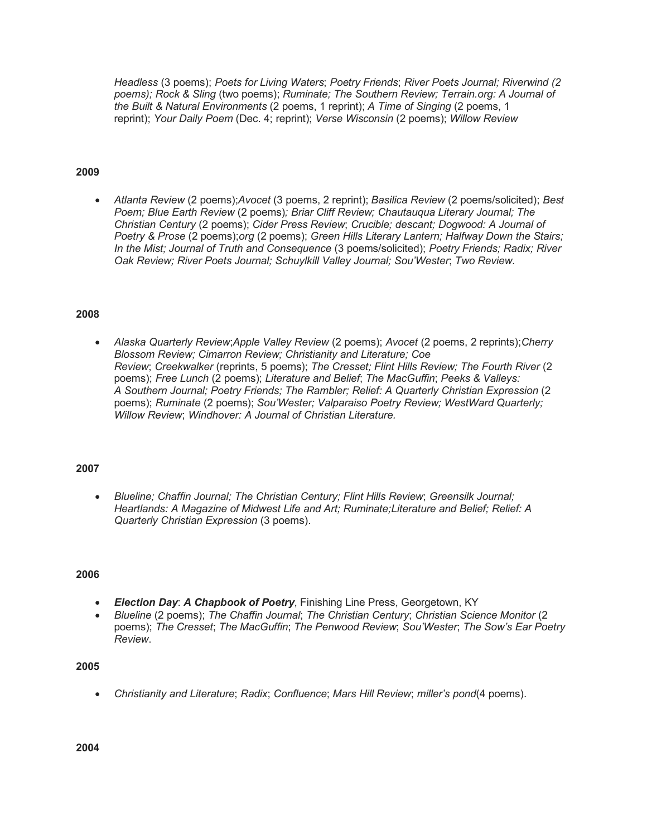*Headless* (3 poems); *Poets for Living Waters*; *Poetry Friends*; *River Poets Journal; Riverwind (2 poems); Rock & Sling* (two poems); *Ruminate; The Southern Review; Terrain.org: A Journal of the Built & Natural Environments* (2 poems, 1 reprint); *A Time of Singing* (2 poems, 1 reprint); *Your Daily Poem* (Dec. 4; reprint); *Verse Wisconsin* (2 poems); *Willow Review*

### **2009**

• *Atlanta Review* (2 poems);*Avocet* (3 poems, 2 reprint); *Basilica Review* (2 poems/solicited); *Best Poem; Blue Earth Review* (2 poems)*; Briar Cliff Review; Chautauqua Literary Journal; The Christian Century* (2 poems); *Cider Press Review*; *Crucible; descant; Dogwood: A Journal of Poetry & Prose* (2 poems);*org* (2 poems); *Green Hills Literary Lantern; Halfway Down the Stairs; In the Mist; Journal of Truth and Consequence* (3 poems/solicited); *Poetry Friends; Radix; River Oak Review; River Poets Journal; Schuylkill Valley Journal; Sou'Wester*; *Two Review*.

#### **2008**

• *Alaska Quarterly Review*;*Apple Valley Review* (2 poems); *Avocet* (2 poems, 2 reprints);*Cherry Blossom Review; Cimarron Review; Christianity and Literature; Coe Review*; *Creekwalker* (reprints, 5 poems); *The Cresset; Flint Hills Review; The Fourth River* (2 poems); *Free Lunch* (2 poems); *Literature and Belief*; *The MacGuffin*; *Peeks & Valleys: A Southern Journal; Poetry Friends; The Rambler; Relief: A Quarterly Christian Expression* (2 poems); *Ruminate* (2 poems); *Sou'Wester; Valparaiso Poetry Review; WestWard Quarterly; Willow Review*; *Windhover: A Journal of Christian Literature.*

#### **2007**

• *Blueline; Chaffin Journal; The Christian Century; Flint Hills Review*; *Greensilk Journal; Heartlands: A Magazine of Midwest Life and Art; Ruminate;Literature and Belief; Relief: A Quarterly Christian Expression* (3 poems).

### **2006**

- *Election Day*: *A Chapbook of Poetry*, Finishing Line Press, Georgetown, KY
- *Blueline* (2 poems); *The Chaffin Journal*; *The Christian Century*; *Christian Science Monitor* (2 poems); *The Cresset*; *The MacGuffin*; *The Penwood Review*; *Sou'Wester*; *The Sow's Ear Poetry Review*.

#### **2005**

• *Christianity and Literature*; *Radix*; *Confluence*; *Mars Hill Review*; *miller's pond*(4 poems).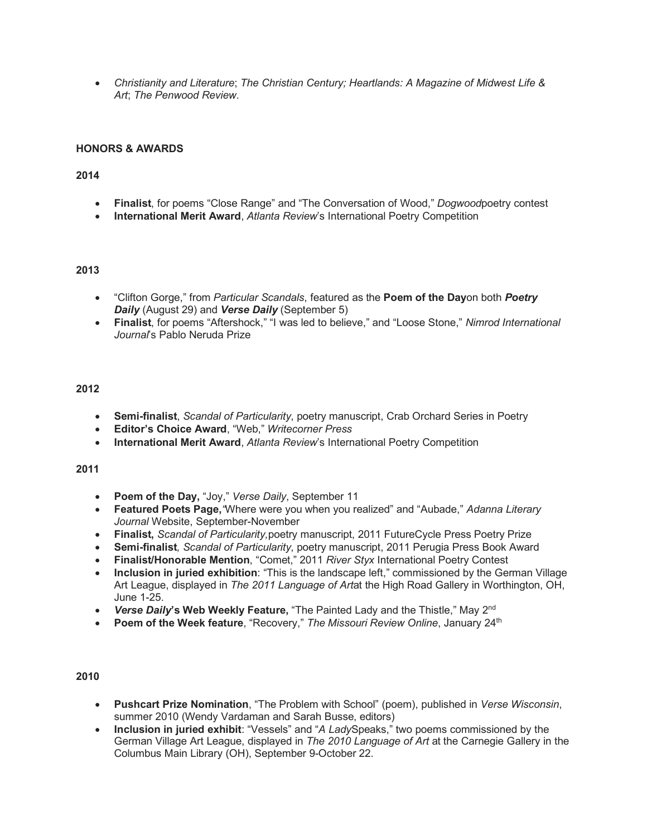• *Christianity and Literature*; *The Christian Century; Heartlands: A Magazine of Midwest Life & Art*; *The Penwood Review*.

### **HONORS & AWARDS**

### **2014**

- **Finalist**, for poems "Close Range" and "The Conversation of Wood," *Dogwood*poetry contest
- **International Merit Award**, *Atlanta Review*'s International Poetry Competition

### **2013**

- "Clifton Gorge," from *Particular Scandals*, featured as the **Poem of the Day**on both *Poetry Daily* (August 29) and *Verse Daily* (September 5)
- **Finalist**, for poems "Aftershock," "I was led to believe," and "Loose Stone," *Nimrod International Journal*'s Pablo Neruda Prize

### **2012**

- **Semi-finalist**, *Scandal of Particularity*, poetry manuscript, Crab Orchard Series in Poetry
- **Editor's Choice Award**, "Web," *Writecorner Press*
- **International Merit Award**, *Atlanta Review*'s International Poetry Competition

#### **2011**

- **Poem of the Day,** "Joy," *Verse Daily*, September 11
- **Featured Poets Page,***"*Where were you when you realized" and "Aubade," *Adanna Literary Journal* Website, September-November
- **Finalist,** *Scandal of Particularity,*poetry manuscript, 2011 FutureCycle Press Poetry Prize
- **Semi-finalist***, Scandal of Particularity*, poetry manuscript, 2011 Perugia Press Book Award
- **Finalist/Honorable Mention**, "Comet," 2011 *River Styx* International Poetry Contest
- **Inclusion in juried exhibition**: "This is the landscape left," commissioned by the German Village Art League, displayed in *The 2011 Language of Art*at the High Road Gallery in Worthington, OH, June 1-25.
- *Verse Daily***'s Web Weekly Feature,** "The Painted Lady and the Thistle," May 2nd
- **Poem of the Week feature**, "Recovery," *The Missouri Review Online*, January 24th

- **Pushcart Prize Nomination**, "The Problem with School" (poem), published in *Verse Wisconsin*, summer 2010 (Wendy Vardaman and Sarah Busse, editors)
- **Inclusion in juried exhibit**: "Vessels" and "*A Lady*Speaks," two poems commissioned by the German Village Art League, displayed in *The 2010 Language of Art* at the Carnegie Gallery in the Columbus Main Library (OH), September 9-October 22.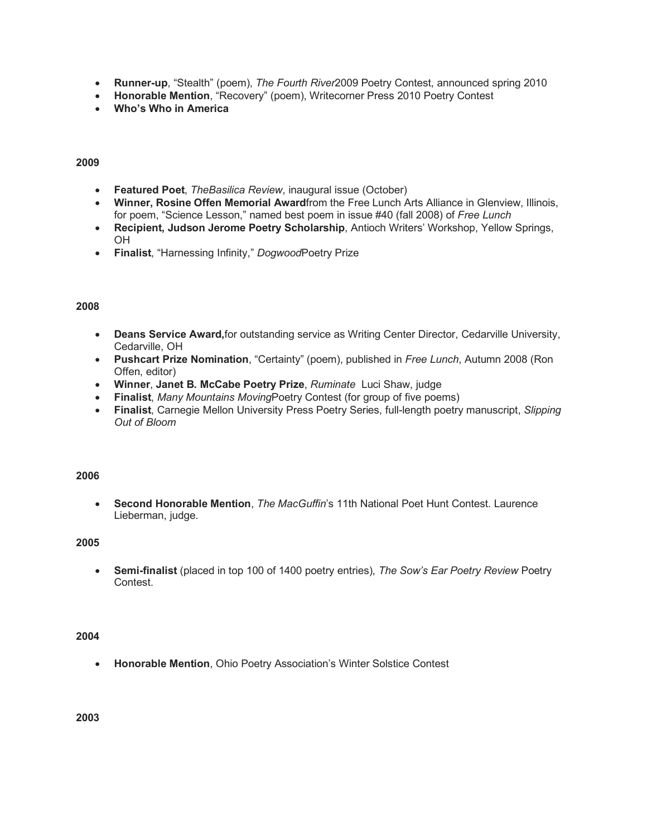- **Runner-up**, "Stealth" (poem), *The Fourth River*2009 Poetry Contest, announced spring 2010
- **Honorable Mention**, "Recovery" (poem), Writecorner Press 2010 Poetry Contest
- **Who's Who in America**

- **Featured Poet**, *TheBasilica Review*, inaugural issue (October)
- **Winner, Rosine Offen Memorial Award**from the Free Lunch Arts Alliance in Glenview, Illinois, for poem, "Science Lesson," named best poem in issue #40 (fall 2008) of *Free Lunch*
- **Recipient, Judson Jerome Poetry Scholarship**, Antioch Writers' Workshop, Yellow Springs, OH
- **Finalist**, "Harnessing Infinity," *Dogwood*Poetry Prize

### **2008**

- **Deans Service Award,**for outstanding service as Writing Center Director, Cedarville University, Cedarville, OH
- **Pushcart Prize Nomination**, "Certainty" (poem), published in *Free Lunch*, Autumn 2008 (Ron Offen, editor)
- **Winner**, **Janet B. McCabe Poetry Prize**, *Ruminate* Luci Shaw, judge
- **Finalist**, *Many Mountains Moving*Poetry Contest (for group of five poems)
- **Finalist**, Carnegie Mellon University Press Poetry Series, full-length poetry manuscript, *Slipping Out of Bloom*

#### **2006**

• **Second Honorable Mention**, *The MacGuffin*'s 11th National Poet Hunt Contest. Laurence Lieberman, judge.

### **2005**

• **Semi-finalist** (placed in top 100 of 1400 poetry entries), *The Sow's Ear Poetry Review* Poetry Contest.

#### **2004**

• **Honorable Mention**, Ohio Poetry Association's Winter Solstice Contest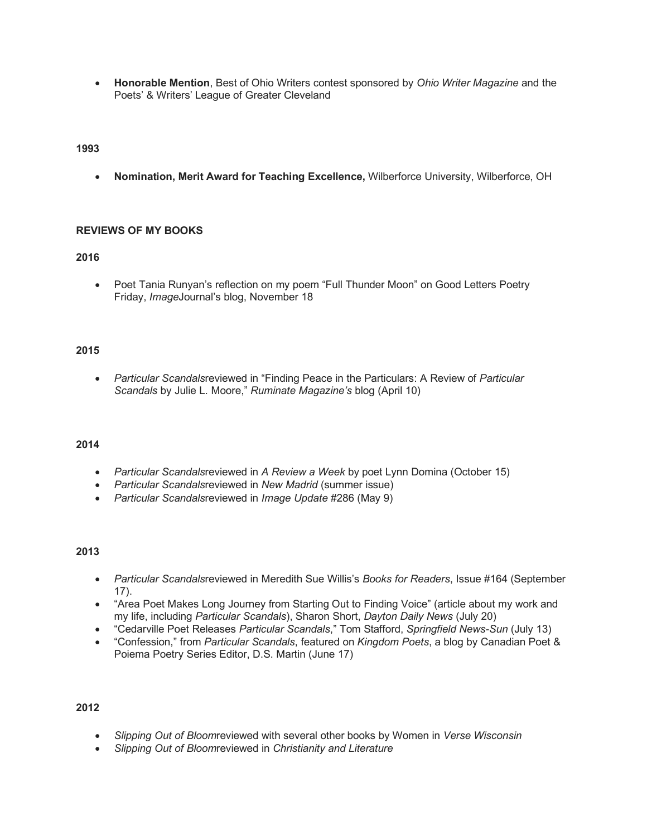• **Honorable Mention**, Best of Ohio Writers contest sponsored by *Ohio Writer Magazine* and the Poets' & Writers' League of Greater Cleveland

### **1993**

• **Nomination, Merit Award for Teaching Excellence,** Wilberforce University, Wilberforce, OH

#### **REVIEWS OF MY BOOKS**

### **2016**

• Poet Tania Runyan's reflection on my poem "Full Thunder Moon" on Good Letters Poetry Friday, *Image*Journal's blog, November 18

### **2015**

• *Particular Scandals*reviewed in "Finding Peace in the Particulars: A Review of *Particular Scandals* by Julie L. Moore," *Ruminate Magazine's* blog (April 10)

### **2014**

- *Particular Scandals*reviewed in *A Review a Week* by poet Lynn Domina (October 15)
- *Particular Scandals*reviewed in *New Madrid* (summer issue)
- *Particular Scandals*reviewed in *Image Update* #286 (May 9)

### **2013**

- *Particular Scandals*reviewed in Meredith Sue Willis's *Books for Readers*, Issue #164 (September 17).
- "Area Poet Makes Long Journey from Starting Out to Finding Voice" (article about my work and my life, including *Particular Scandals*), Sharon Short, *Dayton Daily News* (July 20)
- "Cedarville Poet Releases *Particular Scandals*," Tom Stafford, *Springfield News-Sun* (July 13)
- "Confession," from *Particular Scandals*, featured on *Kingdom Poets*, a blog by Canadian Poet & Poiema Poetry Series Editor, D.S. Martin (June 17)

- *Slipping Out of Bloom*reviewed with several other books by Women in *Verse Wisconsin*
- *Slipping Out of Bloom*reviewed in *Christianity and Literature*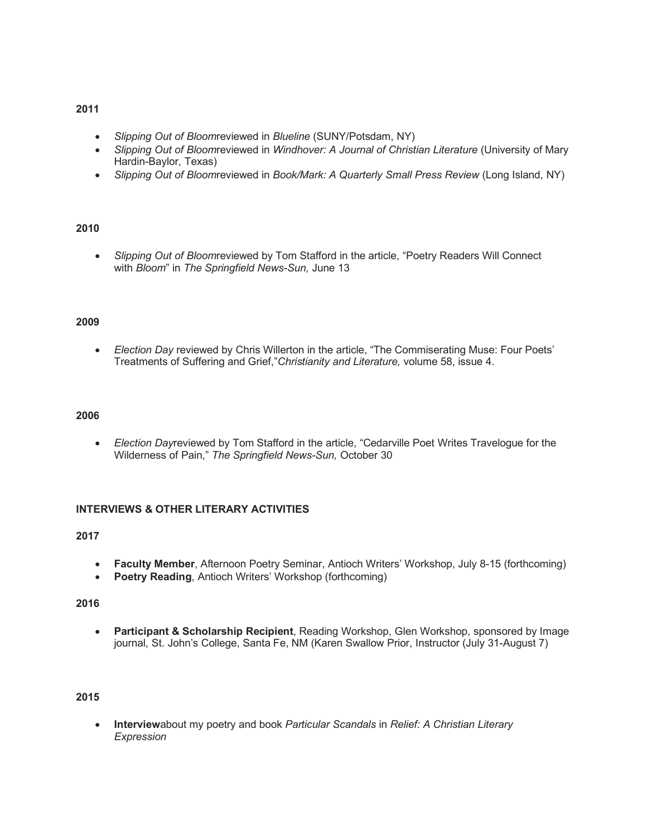- *Slipping Out of Bloom*reviewed in *Blueline* (SUNY/Potsdam, NY)
- *Slipping Out of Bloom*reviewed in *Windhover: A Journal of Christian Literature* (University of Mary Hardin-Baylor, Texas)
- *Slipping Out of Bloom*reviewed in *Book/Mark: A Quarterly Small Press Review* (Long Island, NY)

### **2010**

• *Slipping Out of Bloom*reviewed by Tom Stafford in the article, "Poetry Readers Will Connect with *Bloom*" in *The Springfield News-Sun,* June 13

#### **2009**

• *Election Day* reviewed by Chris Willerton in the article, "The Commiserating Muse: Four Poets' Treatments of Suffering and Grief,"*Christianity and Literature,* volume 58, issue 4.

#### **2006**

• *Election Day*reviewed by Tom Stafford in the article, "Cedarville Poet Writes Travelogue for the Wilderness of Pain," *The Springfield News-Sun,* October 30

#### **INTERVIEWS & OTHER LITERARY ACTIVITIES**

### **2017**

- **Faculty Member**, Afternoon Poetry Seminar, Antioch Writers' Workshop, July 8-15 (forthcoming)
- **Poetry Reading, Antioch Writers' Workshop (forthcoming)**

### **2016**

• **Participant & Scholarship Recipient**, Reading Workshop, Glen Workshop, sponsored by Image journal, St. John's College, Santa Fe, NM (Karen Swallow Prior, Instructor (July 31-August 7)

### **2015**

• **Interview**about my poetry and book *Particular Scandals* in *Relief: A Christian Literary Expression*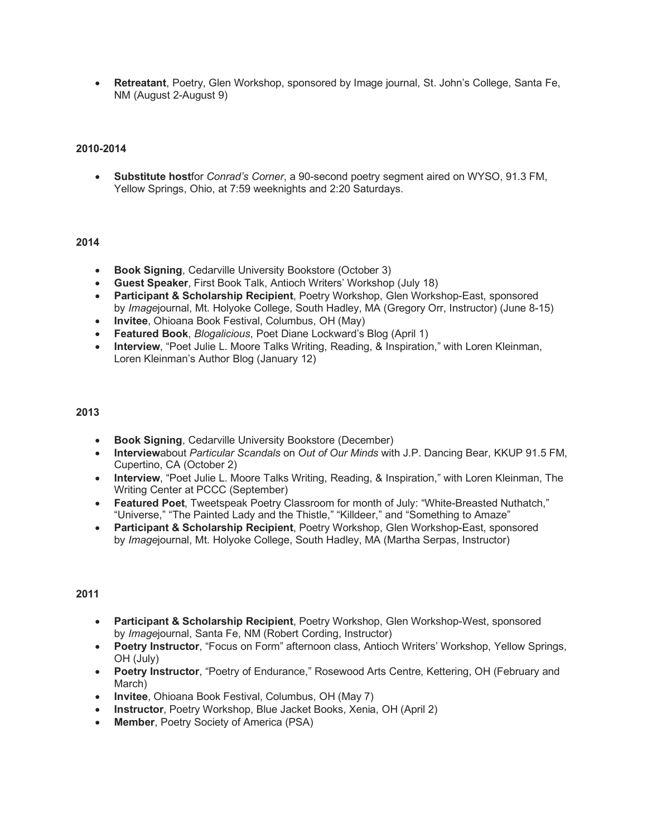• **Retreatant**, Poetry, Glen Workshop, sponsored by Image journal, St. John's College, Santa Fe, NM (August 2-August 9)

### **2010-2014**

• **Substitute host**for *Conrad's Corner*, a 90-second poetry segment aired on WYSO, 91.3 FM, Yellow Springs, Ohio, at 7:59 weeknights and 2:20 Saturdays.

#### **2014**

- **Book Signing**, Cedarville University Bookstore (October 3)
- **Guest Speaker**, First Book Talk, Antioch Writers' Workshop (July 18)
- **Participant & Scholarship Recipient**, Poetry Workshop, Glen Workshop-East, sponsored by *Image*journal, Mt. Holyoke College, South Hadley, MA (Gregory Orr, Instructor) (June 8-15)
- **Invitee**, Ohioana Book Festival, Columbus, OH (May)
- **Featured Book**, *Blogalicious*, Poet Diane Lockward's Blog (April 1)
- **Interview**, "Poet Julie L. Moore Talks Writing, Reading, & Inspiration," with Loren Kleinman, Loren Kleinman's Author Blog (January 12)

#### **2013**

- **Book Signing**, Cedarville University Bookstore (December)
- **Interview**about *Particular Scandals* on *Out of Our Minds* with J.P. Dancing Bear, KKUP 91.5 FM, Cupertino, CA (October 2)
- **Interview**, "Poet Julie L. Moore Talks Writing, Reading, & Inspiration," with Loren Kleinman, The Writing Center at PCCC (September)
- **Featured Poet**, Tweetspeak Poetry Classroom for month of July: "White-Breasted Nuthatch," "Universe," "The Painted Lady and the Thistle," "Killdeer," and "Something to Amaze"
- **Participant & Scholarship Recipient**, Poetry Workshop, Glen Workshop-East, sponsored by *Image*journal, Mt. Holyoke College, South Hadley, MA (Martha Serpas, Instructor)

- **Participant & Scholarship Recipient**, Poetry Workshop, Glen Workshop-West, sponsored by *Image*journal, Santa Fe, NM (Robert Cording, Instructor)
- **Poetry Instructor**, "Focus on Form" afternoon class, Antioch Writers' Workshop, Yellow Springs, OH (July)
- **Poetry Instructor**, "Poetry of Endurance," Rosewood Arts Centre, Kettering, OH (February and March)
- **Invitee**, Ohioana Book Festival, Columbus, OH (May 7)
- **Instructor**, Poetry Workshop, Blue Jacket Books, Xenia, OH (April 2)
- **Member**, Poetry Society of America (PSA)